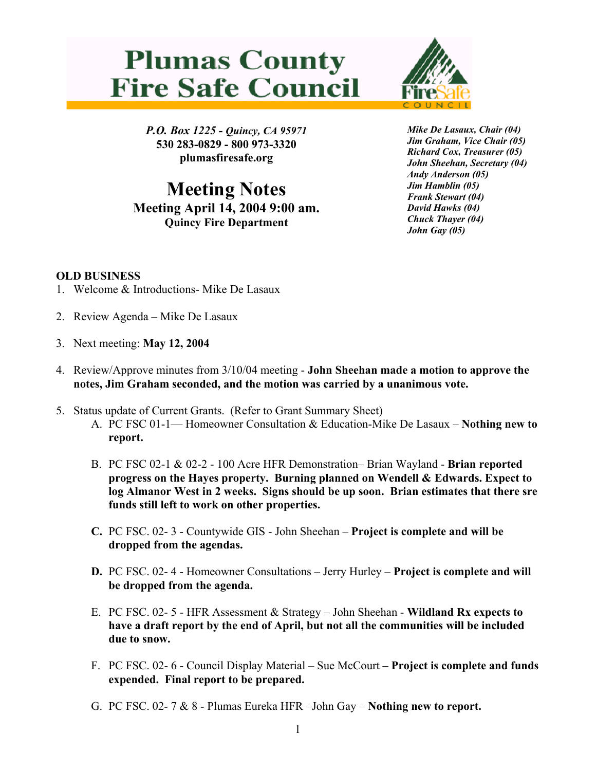## **Plumas County Fire Safe Council**



*P.O. Box 1225 - Quincy, CA 95971*  **530 283-0829 - 800 973-3320 plumasfiresafe.org** 

**Meeting Notes Meeting April 14, 2004 9:00 am. Quincy Fire Department**

*Mike De Lasaux, Chair (04) Jim Graham, Vice Chair (05) Richard Cox, Treasurer (05) John Sheehan, Secretary (04) Andy Anderson (05) Jim Hamblin (05) Frank Stewart (04) David Hawks (04) Chuck Thayer (04) John Gay (05)*

## **OLD BUSINESS**

- 1. Welcome & Introductions- Mike De Lasaux
- 2. Review Agenda Mike De Lasaux
- 3. Next meeting: **May 12, 2004**
- 4. Review/Approve minutes from 3/10/04 meeting **John Sheehan made a motion to approve the notes, Jim Graham seconded, and the motion was carried by a unanimous vote.**
- 5. Status update of Current Grants. (Refer to Grant Summary Sheet)
	- A. PC FSC 01-1— Homeowner Consultation & Education-Mike De Lasaux **Nothing new to report.**
	- B. PC FSC 02-1 & 02-2 100 Acre HFR Demonstration– Brian Wayland **Brian reported progress on the Hayes property. Burning planned on Wendell & Edwards. Expect to log Almanor West in 2 weeks. Signs should be up soon. Brian estimates that there sre funds still left to work on other properties.**
	- **C.** PC FSC. 02- 3 Countywide GIS John Sheehan **Project is complete and will be dropped from the agendas.**
	- **D.** PC FSC. 02- 4 Homeowner Consultations Jerry Hurley **Project is complete and will be dropped from the agenda.**
	- E. PC FSC. 02- 5 HFR Assessment & Strategy John Sheehan - **Wildland Rx expects to have a draft report by the end of April, but not all the communities will be included due to snow.**
	- F. PC FSC. 02- 6 Council Display Material Sue McCourt  **Project is complete and funds expended. Final report to be prepared.**
	- G. PC FSC. 02- 7 & 8 Plumas Eureka HFR –John Gay **Nothing new to report.**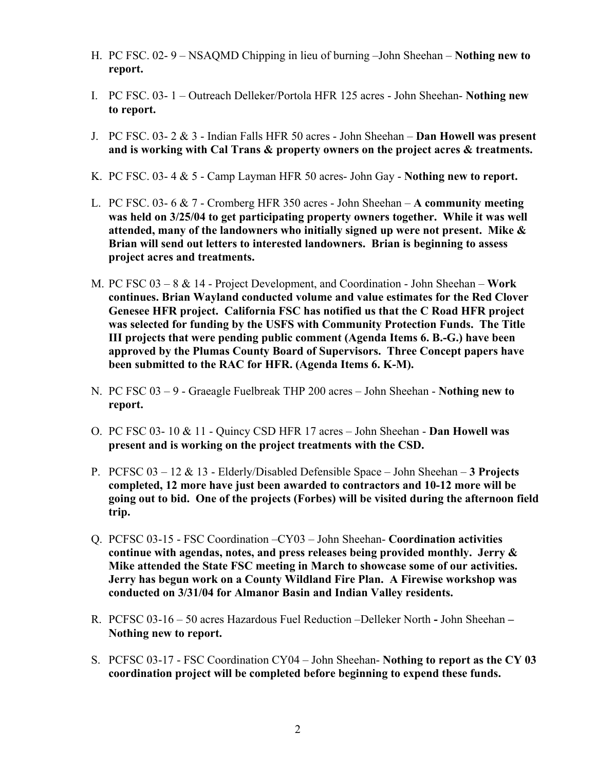- H. PC FSC. 02- 9 NSAQMD Chipping in lieu of burning –John Sheehan **Nothing new to report.**
- I. PC FSC. 03- 1 Outreach Delleker/Portola HFR 125 acres John Sheehan- **Nothing new to report.**
- J. PC FSC. 03- 2 & 3 Indian Falls HFR 50 acres John Sheehan **Dan Howell was present and is working with Cal Trans & property owners on the project acres & treatments.**
- K. PC FSC. 03- 4 & 5 Camp Layman HFR 50 acres- John Gay - **Nothing new to report.**
- L. PC FSC. 03- 6 & 7 Cromberg HFR 350 acres John Sheehan **A community meeting was held on 3/25/04 to get participating property owners together. While it was well attended, many of the landowners who initially signed up were not present. Mike & Brian will send out letters to interested landowners. Brian is beginning to assess project acres and treatments.**
- M. PC FSC 03 8 & 14 Project Development, and Coordination John Sheehan – **Work continues. Brian Wayland conducted volume and value estimates for the Red Clover Genesee HFR project. California FSC has notified us that the C Road HFR project was selected for funding by the USFS with Community Protection Funds. The Title III projects that were pending public comment (Agenda Items 6. B.-G.) have been approved by the Plumas County Board of Supervisors. Three Concept papers have been submitted to the RAC for HFR. (Agenda Items 6. K-M).**
- N. PC FSC 03 9 Graeagle Fuelbreak THP 200 acres John Sheehan **Nothing new to report.**
- O. PC FSC 03- 10 & 11 Quincy CSD HFR 17 acres John Sheehan - **Dan Howell was present and is working on the project treatments with the CSD.**
- P. PCFSC 03 12 & 13 Elderly/Disabled Defensible Space John Sheehan **3 Projects completed, 12 more have just been awarded to contractors and 10-12 more will be going out to bid. One of the projects (Forbes) will be visited during the afternoon field trip.**
- Q. PCFSC 03-15 FSC Coordination –CY03 John Sheehan- **Coordination activities continue with agendas, notes, and press releases being provided monthly. Jerry & Mike attended the State FSC meeting in March to showcase some of our activities. Jerry has begun work on a County Wildland Fire Plan. A Firewise workshop was conducted on 3/31/04 for Almanor Basin and Indian Valley residents.**
- R. PCFSC 03-16 50 acres Hazardous Fuel Reduction –Delleker North **-** John Sheehan **Nothing new to report.**
- S. PCFSC 03-17 FSC Coordination CY04 John Sheehan- **Nothing to report as the CY 03 coordination project will be completed before beginning to expend these funds.**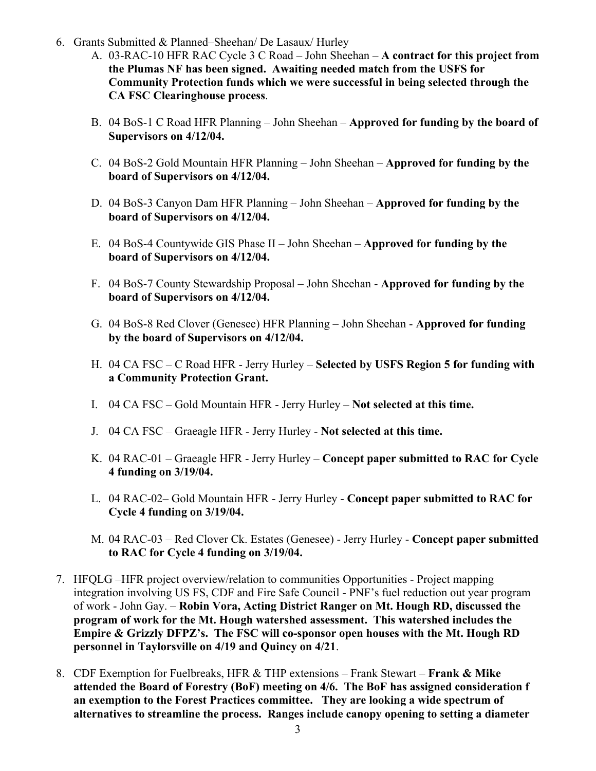- 6. Grants Submitted & Planned–Sheehan/ De Lasaux/ Hurley
	- A. 03-RAC-10 HFR RAC Cycle 3 C Road John Sheehan **A contract for this project from the Plumas NF has been signed. Awaiting needed match from the USFS for Community Protection funds which we were successful in being selected through the CA FSC Clearinghouse process**.
	- B. 04 BoS-1 C Road HFR Planning John Sheehan **Approved for funding by the board of Supervisors on 4/12/04.**
	- C. 04 BoS-2 Gold Mountain HFR Planning John Sheehan – **Approved for funding by the board of Supervisors on 4/12/04.**
	- D. 04 BoS-3 Canyon Dam HFR Planning John Sheehan – **Approved for funding by the board of Supervisors on 4/12/04.**
	- E. 04 BoS-4 Countywide GIS Phase II John Sheehan – **Approved for funding by the board of Supervisors on 4/12/04.**
	- F. 04 BoS-7 County Stewardship Proposal John Sheehan - **Approved for funding by the board of Supervisors on 4/12/04.**
	- G. 04 BoS-8 Red Clover (Genesee) HFR Planning John Sheehan - **Approved for funding by the board of Supervisors on 4/12/04.**
	- H. 04 CA FSC C Road HFR Jerry Hurley **Selected by USFS Region 5 for funding with a Community Protection Grant.**
	- I. 04 CA FSC Gold Mountain HFR Jerry Hurley **Not selected at this time.**
	- J. 04 CA FSC Graeagle HFR Jerry Hurley **Not selected at this time.**
	- K. 04 RAC-01 Graeagle HFR Jerry Hurley **Concept paper submitted to RAC for Cycle 4 funding on 3/19/04.**
	- L. 04 RAC-02– Gold Mountain HFR Jerry Hurley **Concept paper submitted to RAC for Cycle 4 funding on 3/19/04.**
	- M. 04 RAC-03 Red Clover Ck. Estates (Genesee) Jerry Hurley **Concept paper submitted to RAC for Cycle 4 funding on 3/19/04.**
- 7. HFQLG –HFR project overview/relation to communities Opportunities Project mapping integration involving US FS, CDF and Fire Safe Council - PNF's fuel reduction out year program of work - John Gay. – **Robin Vora, Acting District Ranger on Mt. Hough RD, discussed the program of work for the Mt. Hough watershed assessment. This watershed includes the Empire & Grizzly DFPZ's. The FSC will co-sponsor open houses with the Mt. Hough RD personnel in Taylorsville on 4/19 and Quincy on 4/21**.
- 8. CDF Exemption for Fuelbreaks, HFR & THP extensions Frank Stewart **Frank & Mike attended the Board of Forestry (BoF) meeting on 4/6. The BoF has assigned consideration f an exemption to the Forest Practices committee. They are looking a wide spectrum of alternatives to streamline the process. Ranges include canopy opening to setting a diameter**